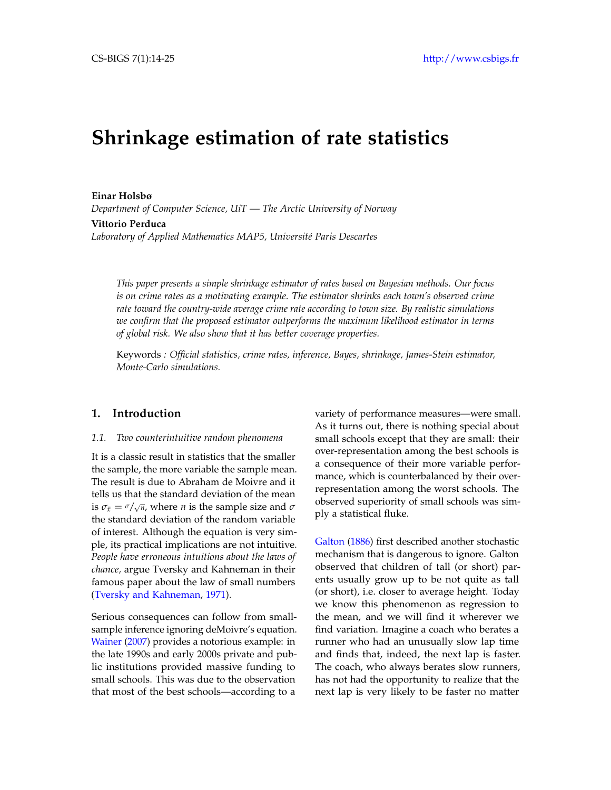# **Shrinkage estimation of rate statistics**

**Einar Holsbø** *Department of Computer Science, UiT — The Arctic University of Norway* **Vittorio Perduca**

*Laboratory of Applied Mathematics MAP5, Université Paris Descartes*

*This paper presents a simple shrinkage estimator of rates based on Bayesian methods. Our focus is on crime rates as a motivating example. The estimator shrinks each town's observed crime rate toward the country-wide average crime rate according to town size. By realistic simulations we confirm that the proposed estimator outperforms the maximum likelihood estimator in terms of global risk. We also show that it has better coverage properties.*

Keywords *: Official statistics, crime rates, inference, Bayes, shrinkage, James-Stein estimator, Monte-Carlo simulations.*

# **1. Introduction**

#### *1.1. Two counterintuitive random phenomena*

It is a classic result in statistics that the smaller the sample, the more variable the sample mean. The result is due to Abraham de Moivre and it tells us that the standard deviation of the mean is  $\sigma_{\bar{x}} = \sigma / \sqrt{n}$ , where *n* is the sample size and  $\sigma$ the standard deviation of the random variable of interest. Although the equation is very simple, its practical implications are not intuitive. *People have erroneous intuitions about the laws of chance,* argue Tversky and Kahneman in their famous paper about the law of small numbers [\(Tversky and Kahneman,](#page-10-0) [1971\)](#page-10-0).

Serious consequences can follow from smallsample inference ignoring deMoivre's equation. [Wainer](#page-10-1) [\(2007\)](#page-10-1) provides a notorious example: in the late 1990s and early 2000s private and public institutions provided massive funding to small schools. This was due to the observation that most of the best schools—according to a

variety of performance measures—were small. As it turns out, there is nothing special about small schools except that they are small: their over-representation among the best schools is a consequence of their more variable performance, which is counterbalanced by their overrepresentation among the worst schools. The observed superiority of small schools was simply a statistical fluke.

[Galton](#page-10-2) [\(1886\)](#page-10-2) first described another stochastic mechanism that is dangerous to ignore. Galton observed that children of tall (or short) parents usually grow up to be not quite as tall (or short), i.e. closer to average height. Today we know this phenomenon as regression to the mean, and we will find it wherever we find variation. Imagine a coach who berates a runner who had an unusually slow lap time and finds that, indeed, the next lap is faster. The coach, who always berates slow runners, has not had the opportunity to realize that the next lap is very likely to be faster no matter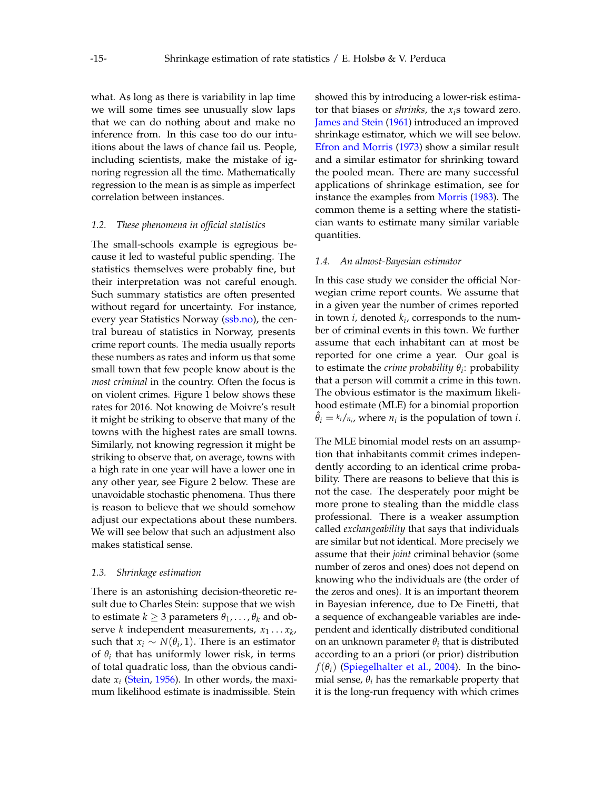what. As long as there is variability in lap time we will some times see unusually slow laps that we can do nothing about and make no inference from. In this case too do our intuitions about the laws of chance fail us. People, including scientists, make the mistake of ignoring regression all the time. Mathematically regression to the mean is as simple as imperfect correlation between instances.

#### *1.2. These phenomena in official statistics*

The small-schools example is egregious because it led to wasteful public spending. The statistics themselves were probably fine, but their interpretation was not careful enough. Such summary statistics are often presented without regard for uncertainty. For instance, every year Statistics Norway [\(ssb.no\)](ssb.no), the central bureau of statistics in Norway, presents crime report counts. The media usually reports these numbers as rates and inform us that some small town that few people know about is the *most criminal* in the country. Often the focus is on violent crimes. Figure [1](#page-3-0) below shows these rates for 2016. Not knowing de Moivre's result it might be striking to observe that many of the towns with the highest rates are small towns. Similarly, not knowing regression it might be striking to observe that, on average, towns with a high rate in one year will have a lower one in any other year, see Figure [2](#page-3-1) below. These are unavoidable stochastic phenomena. Thus there is reason to believe that we should somehow adjust our expectations about these numbers. We will see below that such an adjustment also makes statistical sense.

#### *1.3. Shrinkage estimation*

There is an astonishing decision-theoretic result due to Charles Stein: suppose that we wish to estimate  $k \geq 3$  parameters  $\theta_1, \ldots, \theta_k$  and observe *k* independent measurements, *x*<sup>1</sup> . . . *x<sup>k</sup>* , such that  $x_i \sim N(\theta_i, 1)$ . There is an estimator of  $\theta_i$  that has uniformly lower risk, in terms of total quadratic loss, than the obvious candidate *x<sup>i</sup>* [\(Stein,](#page-10-3) [1956\)](#page-10-3). In other words, the maximum likelihood estimate is inadmissible. Stein

showed this by introducing a lower-risk estimator that biases or *shrinks*, the *xi*s toward zero. [James and Stein](#page-10-4) [\(1961\)](#page-10-4) introduced an improved shrinkage estimator, which we will see below. [Efron and Morris](#page-10-5) [\(1973\)](#page-10-5) show a similar result and a similar estimator for shrinking toward the pooled mean. There are many successful applications of shrinkage estimation, see for instance the examples from [Morris](#page-10-6) [\(1983\)](#page-10-6). The common theme is a setting where the statistician wants to estimate many similar variable quantities.

#### *1.4. An almost-Bayesian estimator*

In this case study we consider the official Norwegian crime report counts. We assume that in a given year the number of crimes reported in town *i*, denoted *k<sup>i</sup>* , corresponds to the number of criminal events in this town. We further assume that each inhabitant can at most be reported for one crime a year. Our goal is to estimate the *crime probability θ<sup>i</sup>* : probability that a person will commit a crime in this town. The obvious estimator is the maximum likelihood estimate (MLE) for a binomial proportion  $\hat{\theta}_i = k_i / n_i$ , where  $n_i$  is the population of town *i*.

The MLE binomial model rests on an assumption that inhabitants commit crimes independently according to an identical crime probability. There are reasons to believe that this is not the case. The desperately poor might be more prone to stealing than the middle class professional. There is a weaker assumption called *exchangeability* that says that individuals are similar but not identical. More precisely we assume that their *joint* criminal behavior (some number of zeros and ones) does not depend on knowing who the individuals are (the order of the zeros and ones). It is an important theorem in Bayesian inference, due to De Finetti, that a sequence of exchangeable variables are independent and identically distributed conditional on an unknown parameter  $\theta_i$  that is distributed according to an a priori (or prior) distribution  $f(\theta_i)$  [\(Spiegelhalter et al.,](#page-10-7) [2004\)](#page-10-7). In the binomial sense,  $\theta_i$  has the remarkable property that it is the long-run frequency with which crimes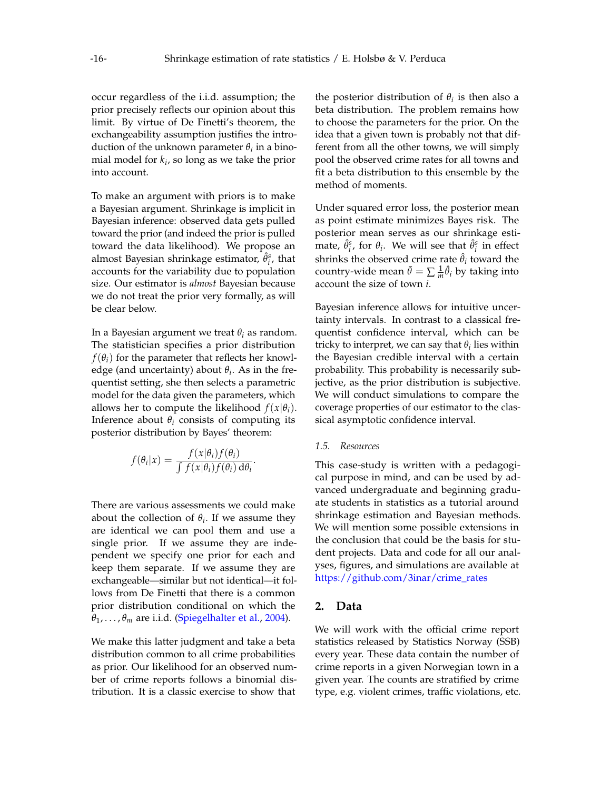occur regardless of the i.i.d. assumption; the prior precisely reflects our opinion about this limit. By virtue of De Finetti's theorem, the exchangeability assumption justifies the introduction of the unknown parameter  $\theta_i$  in a binomial model for *k<sup>i</sup>* , so long as we take the prior into account.

To make an argument with priors is to make a Bayesian argument. Shrinkage is implicit in Bayesian inference: observed data gets pulled toward the prior (and indeed the prior is pulled toward the data likelihood). We propose an almost Bayesian shrinkage estimator,  $\hat{\theta}_i^s$ , that accounts for the variability due to population size. Our estimator is *almost* Bayesian because we do not treat the prior very formally, as will be clear below.

In a Bayesian argument we treat *θ<sup>i</sup>* as random. The statistician specifies a prior distribution  $f(\theta_i)$  for the parameter that reflects her knowledge (and uncertainty) about *θ<sup>i</sup>* . As in the frequentist setting, she then selects a parametric model for the data given the parameters, which allows her to compute the likelihood  $f(x|\theta_i)$ . Inference about  $\theta_i$  consists of computing its posterior distribution by Bayes' theorem:

$$
f(\theta_i|x) = \frac{f(x|\theta_i)f(\theta_i)}{\int f(x|\theta_i)f(\theta_i) d\theta_i}.
$$

There are various assessments we could make about the collection of  $\theta_i$ . If we assume they are identical we can pool them and use a single prior. If we assume they are independent we specify one prior for each and keep them separate. If we assume they are exchangeable—similar but not identical—it follows from De Finetti that there is a common prior distribution conditional on which the  $\theta_1, \ldots, \theta_m$  are i.i.d. [\(Spiegelhalter et al.,](#page-10-7) [2004\)](#page-10-7).

We make this latter judgment and take a beta distribution common to all crime probabilities as prior. Our likelihood for an observed number of crime reports follows a binomial distribution. It is a classic exercise to show that

the posterior distribution of  $\theta_i$  is then also a beta distribution. The problem remains how to choose the parameters for the prior. On the idea that a given town is probably not that different from all the other towns, we will simply pool the observed crime rates for all towns and fit a beta distribution to this ensemble by the method of moments.

Under squared error loss, the posterior mean as point estimate minimizes Bayes risk. The posterior mean serves as our shrinkage estimate,  $\hat{\theta}^s_i$ , for  $\theta_i$ . We will see that  $\hat{\theta}^s_i$  in effect shrinks the observed crime rate  $\hat{\theta}_i$  toward the country-wide mean  $\bar{\theta} = \sum \frac{1}{m} \hat{\theta}_i$  by taking into account the size of town *i*.

Bayesian inference allows for intuitive uncertainty intervals. In contrast to a classical frequentist confidence interval, which can be tricky to interpret, we can say that  $\theta_i$  lies within the Bayesian credible interval with a certain probability. This probability is necessarily subjective, as the prior distribution is subjective. We will conduct simulations to compare the coverage properties of our estimator to the classical asymptotic confidence interval.

#### *1.5. Resources*

This case-study is written with a pedagogical purpose in mind, and can be used by advanced undergraduate and beginning graduate students in statistics as a tutorial around shrinkage estimation and Bayesian methods. We will mention some possible extensions in the conclusion that could be the basis for student projects. Data and code for all our analyses, figures, and simulations are available at [https://github.com/3inar/crime\\_rates](https://github.com/3inar/crime_rates)

## **2. Data**

We will work with the official crime report statistics released by Statistics Norway (SSB) every year. These data contain the number of crime reports in a given Norwegian town in a given year. The counts are stratified by crime type, e.g. violent crimes, traffic violations, etc.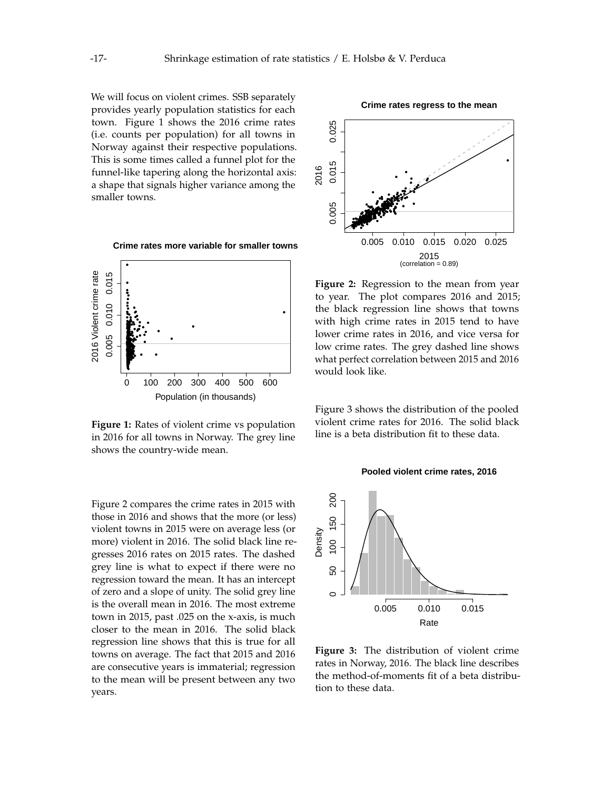We will focus on violent crimes. SSB separately provides yearly population statistics for each town. Figure [1](#page-3-0) shows the 2016 crime rates (i.e. counts per population) for all towns in Norway against their respective populations. This is some times called a funnel plot for the funnel-like tapering along the horizontal axis: a shape that signals higher variance among the smaller towns.



<span id="page-3-0"></span>**Crime rates more variable for smaller towns**

**Figure 1:** Rates of violent crime vs population in 2016 for all towns in Norway. The grey line shows the country-wide mean.

Figure [2](#page-3-1) compares the crime rates in 2015 with those in 2016 and shows that the more (or less) violent towns in 2015 were on average less (or more) violent in 2016. The solid black line regresses 2016 rates on 2015 rates. The dashed grey line is what to expect if there were no regression toward the mean. It has an intercept of zero and a slope of unity. The solid grey line is the overall mean in 2016. The most extreme town in 2015, past .025 on the x-axis, is much closer to the mean in 2016. The solid black regression line shows that this is true for all towns on average. The fact that 2015 and 2016 are consecutive years is immaterial; regression to the mean will be present between any two years.

<span id="page-3-1"></span>

**Figure 2:** Regression to the mean from year to year. The plot compares 2016 and 2015; the black regression line shows that towns with high crime rates in 2015 tend to have lower crime rates in 2016, and vice versa for low crime rates. The grey dashed line shows what perfect correlation between 2015 and 2016 would look like.

Figure [3](#page-3-2) shows the distribution of the pooled violent crime rates for 2016. The solid black line is a beta distribution fit to these data.



<span id="page-3-2"></span>

**Figure 3:** The distribution of violent crime rates in Norway, 2016. The black line describes the method-of-moments fit of a beta distribution to these data.

**Crime rates regress to the mean**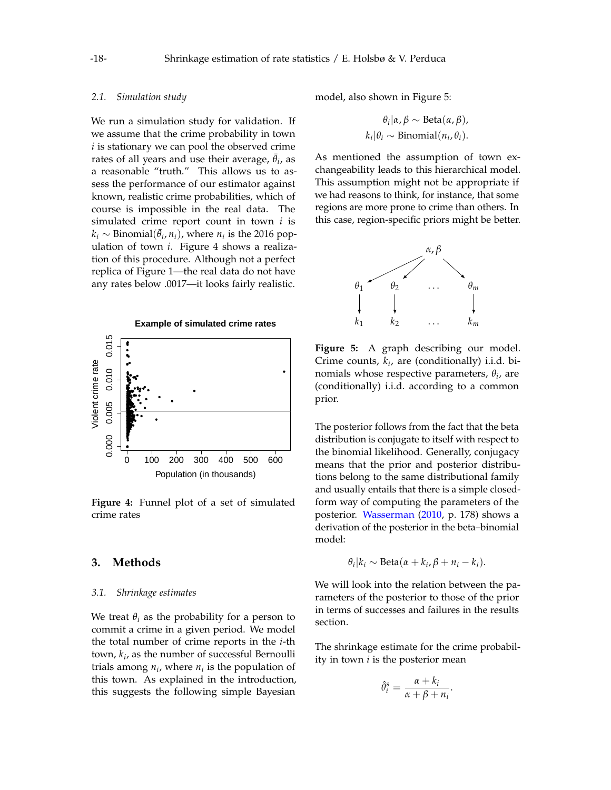#### *2.1. Simulation study*

We run a simulation study for validation. If we assume that the crime probability in town *i* is stationary we can pool the observed crime rates of all years and use their average,  $\bar{\theta}_i$ , as a reasonable "truth." This allows us to assess the performance of our estimator against known, realistic crime probabilities, which of course is impossible in the real data. The simulated crime report count in town *i* is  $k_i \sim \text{Binomial}(\bar{\theta}_i, n_i)$ , where  $n_i$  is the 2016 population of town *i*. Figure [4](#page-4-0) shows a realization of this procedure. Although not a perfect replica of Figure [1—](#page-3-0)the real data do not have any rates below .0017—it looks fairly realistic.

<span id="page-4-0"></span>

**Figure 4:** Funnel plot of a set of simulated crime rates

# **3. Methods**

### *3.1. Shrinkage estimates*

We treat  $\theta_i$  as the probability for a person to commit a crime in a given period. We model the total number of crime reports in the *i*-th town, *k<sup>i</sup>* , as the number of successful Bernoulli trials among  $n_i$ , where  $n_i$  is the population of this town. As explained in the introduction, this suggests the following simple Bayesian model, also shown in Figure [5:](#page-4-1)

$$
\theta_i | \alpha, \beta \sim \text{Beta}(\alpha, \beta),
$$
  
\n $k_i | \theta_i \sim \text{Binomial}(n_i, \theta_i).$ 

As mentioned the assumption of town exchangeability leads to this hierarchical model. This assumption might not be appropriate if we had reasons to think, for instance, that some regions are more prone to crime than others. In this case, region-specific priors might be better.

<span id="page-4-1"></span>

**Figure 5:** A graph describing our model. Crime counts, *k<sup>i</sup>* , are (conditionally) i.i.d. binomials whose respective parameters, *θ<sup>i</sup>* , are (conditionally) i.i.d. according to a common prior.

The posterior follows from the fact that the beta distribution is conjugate to itself with respect to the binomial likelihood. Generally, conjugacy means that the prior and posterior distributions belong to the same distributional family and usually entails that there is a simple closedform way of computing the parameters of the posterior. [Wasserman](#page-11-0) [\(2010,](#page-11-0) p. 178) shows a derivation of the posterior in the beta–binomial model:

$$
\theta_i | k_i \sim \text{Beta}(\alpha + k_i, \beta + n_i - k_i).
$$

We will look into the relation between the parameters of the posterior to those of the prior in terms of successes and failures in the results section.

The shrinkage estimate for the crime probability in town *i* is the posterior mean

$$
\hat{\theta}_i^s = \frac{\alpha + k_i}{\alpha + \beta + n_i}.
$$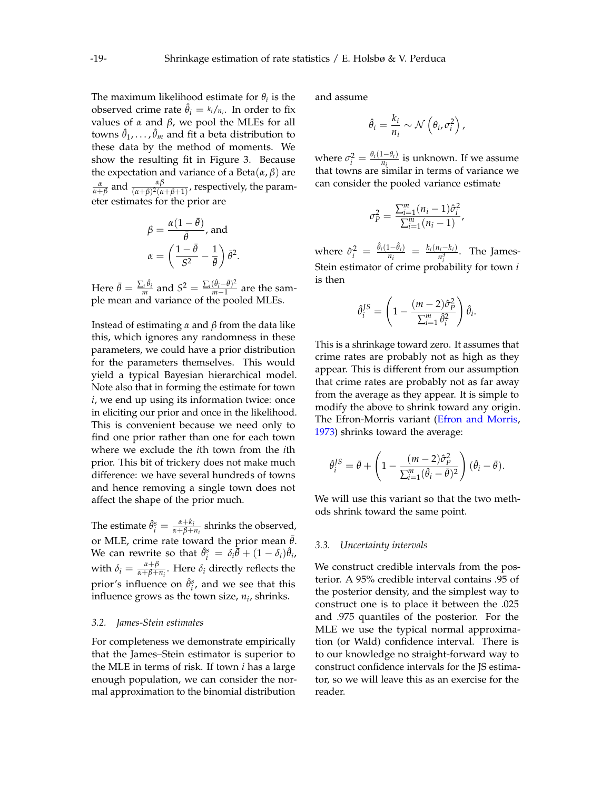The maximum likelihood estimate for  $\theta_i$  is the observed crime rate  $\hat{\theta}_i = \frac{k_i}{n_i}$ . In order to fix values of *α* and *β*, we pool the MLEs for all towns  $\hat{\theta}_1, \ldots, \hat{\theta}_m$  and fit a beta distribution to these data by the method of moments. We show the resulting fit in Figure [3.](#page-3-2) Because the expectation and variance of a Beta $(\alpha, \beta)$  are  $\frac{\alpha}{\alpha+\beta}$  and  $\frac{\alpha\beta}{(\alpha+\beta)^2(\alpha+\beta+1)}$ , respectively, the parameter estimates for the prior are

$$
\beta = \frac{\alpha(1 - \bar{\theta})}{\bar{\theta}}, \text{ and}
$$

$$
\alpha = \left(\frac{1 - \bar{\theta}}{S^2} - \frac{1}{\bar{\theta}}\right)\bar{\theta}^2.
$$

Here  $\bar{\theta} = \frac{\sum_i \hat{\theta}_i}{m}$  and  $S^2 = \frac{\sum_i (\hat{\theta}_i - \bar{\theta})^2}{m-1}$  $\frac{(v_i - v)}{m-1}$  are the sample mean and variance of the pooled MLEs.

Instead of estimating *α* and *β* from the data like this, which ignores any randomness in these parameters, we could have a prior distribution for the parameters themselves. This would yield a typical Bayesian hierarchical model. Note also that in forming the estimate for town *i*, we end up using its information twice: once in eliciting our prior and once in the likelihood. This is convenient because we need only to find one prior rather than one for each town where we exclude the *i*th town from the *i*th prior. This bit of trickery does not make much difference: we have several hundreds of towns and hence removing a single town does not affect the shape of the prior much.

The estimate  $\hat{\theta}^s_i = \frac{\alpha + k_i}{\alpha + \beta + \beta}$  $\frac{\alpha + \kappa_i}{\alpha + \beta + n_i}$  shrinks the observed, or MLE, crime rate toward the prior mean  $\bar{\theta}$ . We can rewrite so that  $\hat{\theta}_i^s = \delta_i \overline{\theta} + (1 - \delta_i) \hat{\theta}_i$ , with  $\delta_i = \frac{\alpha + \beta}{\alpha + \beta + \beta}$  $\frac{\alpha+p}{\alpha+\beta+n_i}$ . Here  $\delta_i$  directly reflects the prior's influence on  $\hat{\theta}^s_i$ , and we see that this influence grows as the town size, *n<sup>i</sup>* , shrinks.

# *3.2. James-Stein estimates*

For completeness we demonstrate empirically that the James–Stein estimator is superior to the MLE in terms of risk. If town *i* has a large enough population, we can consider the normal approximation to the binomial distribution and assume

$$
\hat{\theta}_i = \frac{k_i}{n_i} \sim \mathcal{N}\left(\theta_i, \sigma_i^2\right),
$$

where  $\sigma_i^2 = \frac{\theta_i(1-\theta_i)}{n_i}$  $\frac{a_i - b_i}{n_i}$  is unknown. If we assume that towns are similar in terms of variance we can consider the pooled variance estimate

$$
\sigma_P^2 = \frac{\sum_{i=1}^m (n_i - 1)\hat{\sigma}_i^2}{\sum_{i=1}^m (n_i - 1)},
$$

where  $\hat{\sigma}_i^2 = \frac{\hat{\theta}_i(1-\hat{\theta}_i)}{n_i}$  $\frac{(1-\hat{\theta}_i)}{n_i} = \frac{k_i(n_i-k_i)}{n_i^3}$  $\frac{n_i^2 - n_i}{n_i^3}$ . The James-Stein estimator of crime probability for town *i* is then

$$
\hat{\theta}_i^{JS} = \left(1 - \frac{(m-2)\hat{\sigma}_{P}^2}{\sum_{i=1}^m \hat{\theta}_i^2}\right)\hat{\theta}_i.
$$

This is a shrinkage toward zero. It assumes that crime rates are probably not as high as they appear. This is different from our assumption that crime rates are probably not as far away from the average as they appear. It is simple to modify the above to shrink toward any origin. The Efron-Morris variant [\(Efron and Morris,](#page-10-5) [1973\)](#page-10-5) shrinks toward the average:

$$
\hat{\theta}_i^{JS} = \bar{\theta} + \left(1 - \frac{(m-2)\hat{\sigma}_{\hat{P}}^2}{\sum_{i=1}^m (\hat{\theta}_i - \bar{\theta})^2}\right)(\hat{\theta}_i - \bar{\theta}).
$$

We will use this variant so that the two methods shrink toward the same point.

#### *3.3. Uncertainty intervals*

We construct credible intervals from the posterior. A 95% credible interval contains .95 of the posterior density, and the simplest way to construct one is to place it between the .025 and .975 quantiles of the posterior. For the MLE we use the typical normal approximation (or Wald) confidence interval. There is to our knowledge no straight-forward way to construct confidence intervals for the JS estimator, so we will leave this as an exercise for the reader.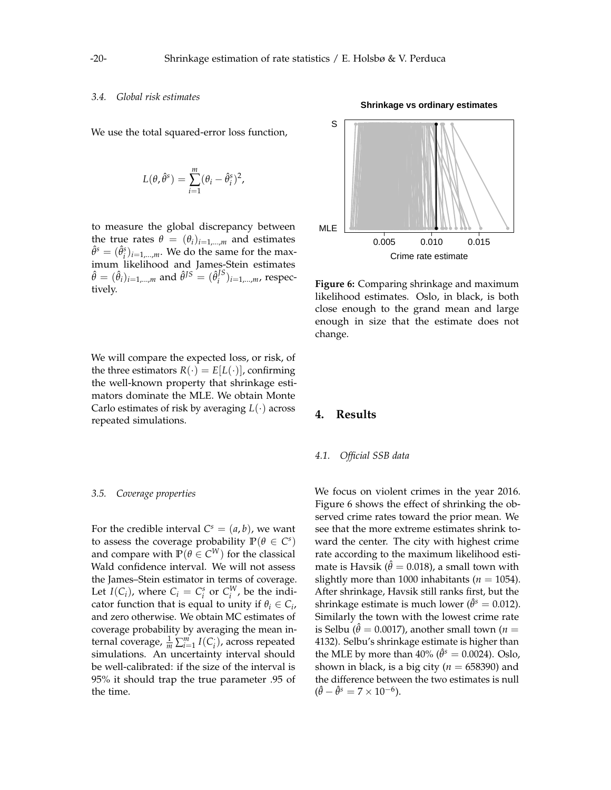#### *3.4. Global risk estimates*

We use the total squared-error loss function,

$$
L(\theta, \hat{\theta}^s) = \sum_{i=1}^m (\theta_i - \hat{\theta}_i^s)^2,
$$

to measure the global discrepancy between the true rates  $\theta = (\theta_i)_{i=1,...,m}$  and estimates  $\hat{\theta}^s = (\hat{\theta}^s_i)_{i=1,...,m}$ . We do the same for the maximum likelihood and James-Stein estimates  $\hat{\theta} = (\hat{\theta}_i)_{i=1,...,m}$  and  $\hat{\theta}^{JS} = (\hat{\theta}_i^{JS})^S$  $j_i^{(5)}$ <sub>*i*=1,...,*m*, respec-</sub> tively.

We will compare the expected loss, or risk, of the three estimators  $R(\cdot) = E[L(\cdot)]$ , confirming the well-known property that shrinkage estimators dominate the MLE. We obtain Monte Carlo estimates of risk by averaging *L*(·) across repeated simulations.

#### *3.5. Coverage properties*

For the credible interval  $C^s = (a, b)$ , we want to assess the coverage probability  $\mathbb{P}(\theta \in C^s)$ and compare with  $\mathbb{P}(\theta \in C^{W})$  for the classical Wald confidence interval. We will not assess the James–Stein estimator in terms of coverage. Let  $I(C_i)$ , where  $C_i = C_i^s$  or  $C_i^W$ , be the indicator function that is equal to unity if  $\theta_i \in C_i$ , and zero otherwise. We obtain MC estimates of coverage probability by averaging the mean internal coverage,  $\frac{1}{m} \sum_{i=1}^{m} I(C_i)$ , across repeated simulations. An uncertainty interval should be well-calibrated: if the size of the interval is 95% it should trap the true parameter .95 of the time.

0.005 0.010 0.015 MLE ●● ● ● ●●●●●●●●●●●●●●●●●●● ● ●●●● **Particular** ●●●●● ●● ●● ●●●●●●●●●●●●●● ●●●● ●●●●● AND THE MANUSCRIPTION

# **Figure 6:** Comparing shrinkage and maximum likelihood estimates. Oslo, in black, is both close enough to the grand mean and large enough in size that the estimate does not change.

Crime rate estimate

# **4. Results**

#### *4.1. Official SSB data*

We focus on violent crimes in the year 2016. Figure [6](#page-6-0) shows the effect of shrinking the observed crime rates toward the prior mean. We see that the more extreme estimates shrink toward the center. The city with highest crime rate according to the maximum likelihood estimate is Havsik ( $\hat{\theta} = 0.018$ ), a small town with slightly more than 1000 inhabitants ( $n = 1054$ ). After shrinkage, Havsik still ranks first, but the shrinkage estimate is much lower ( $\hat{\theta}^s = 0.012$ ). Similarly the town with the lowest crime rate is Selbu ( $\hat{\theta} = 0.0017$ ), another small town (*n* = 4132). Selbu's shrinkage estimate is higher than the MLE by more than  $40\%$  ( $\hat{\theta}^s = 0.0024$ ). Oslo, shown in black, is a big city ( $n = 658390$ ) and the difference between the two estimates is null  $(\hat{\theta} - \hat{\theta}^s = 7 \times 10^{-6}).$ 

<span id="page-6-0"></span>

#### **Shrinkage vs ordinary estimates**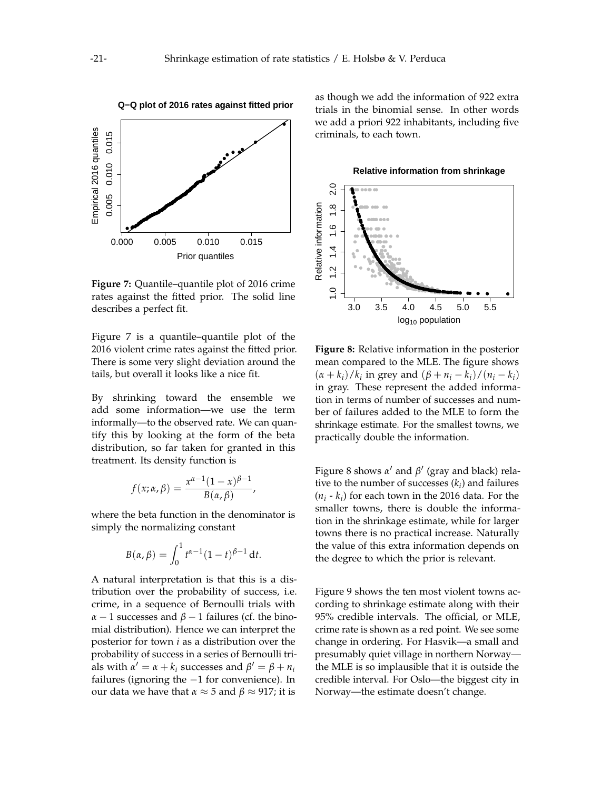<span id="page-7-0"></span>

**Figure 7:** Quantile–quantile plot of 2016 crime rates against the fitted prior. The solid line describes a perfect fit.

Figure [7](#page-7-0) is a quantile–quantile plot of the 2016 violent crime rates against the fitted prior. There is some very slight deviation around the tails, but overall it looks like a nice fit.

By shrinking toward the ensemble we add some information—we use the term informally—to the observed rate. We can quantify this by looking at the form of the beta distribution, so far taken for granted in this treatment. Its density function is

$$
f(x; \alpha, \beta) = \frac{x^{\alpha-1}(1-x)^{\beta-1}}{B(\alpha, \beta)},
$$

where the beta function in the denominator is simply the normalizing constant

$$
B(\alpha, \beta) = \int_0^1 t^{\alpha - 1} (1 - t)^{\beta - 1} dt.
$$

A natural interpretation is that this is a distribution over the probability of success, i.e. crime, in a sequence of Bernoulli trials with  $α - 1$  successes and  $β - 1$  failures (cf. the binomial distribution). Hence we can interpret the posterior for town *i* as a distribution over the probability of success in a series of Bernoulli trials with  $\alpha' = \alpha + k_i$  successes and  $\beta' = \beta + n_i$ failures (ignoring the −1 for convenience). In our data we have that  $\alpha \approx 5$  and  $\beta \approx 917$ ; it is

as though we add the information of 922 extra trials in the binomial sense. In other words we add a priori 922 inhabitants, including five criminals, to each town.

**Relative information from shrinkage**

<span id="page-7-1"></span>

**Figure 8:** Relative information in the posterior mean compared to the MLE. The figure shows  $(\alpha + k_i)/k_i$  in grey and  $(\beta + n_i - k_i)/(n_i - k_i)$ in gray. These represent the added information in terms of number of successes and number of failures added to the MLE to form the shrinkage estimate. For the smallest towns, we practically double the information.

Figure [8](#page-7-1) shows  $\alpha'$  and  $\beta'$  (gray and black) relative to the number of successes (*k<sup>i</sup>* ) and failures  $(n_i - k_i)$  for each town in the 2016 data. For the smaller towns, there is double the information in the shrinkage estimate, while for larger towns there is no practical increase. Naturally the value of this extra information depends on the degree to which the prior is relevant.

Figure [9](#page-8-0) shows the ten most violent towns according to shrinkage estimate along with their 95% credible intervals. The official, or MLE, crime rate is shown as a red point. We see some change in ordering. For Hasvik—a small and presumably quiet village in northern Norway the MLE is so implausible that it is outside the credible interval. For Oslo—the biggest city in Norway—the estimate doesn't change.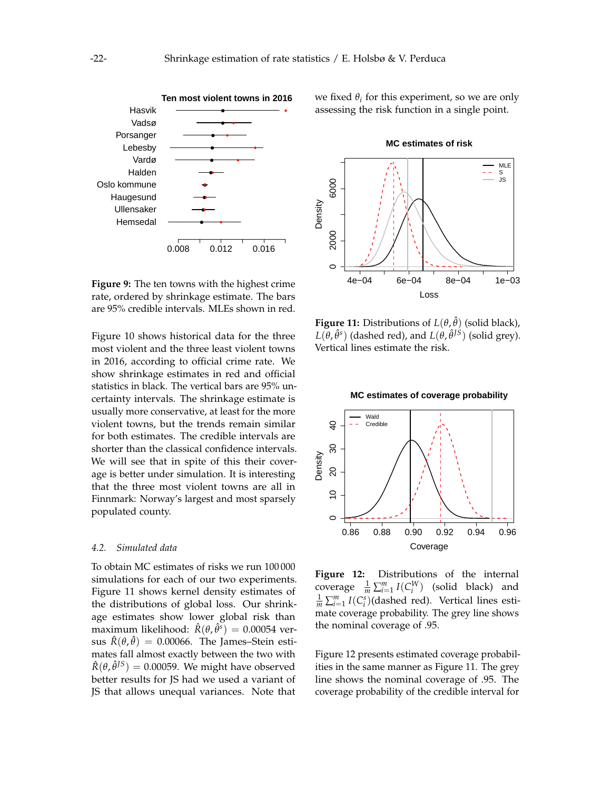<span id="page-8-0"></span>

**Figure 9:** The ten towns with the highest crime rate, ordered by shrinkage estimate. The bars are 95% credible intervals. MLEs shown in red.

Figure [10](#page-9-0) shows historical data for the three most violent and the three least violent towns in 2016, according to official crime rate. We show shrinkage estimates in red and official statistics in black. The vertical bars are 95% uncertainty intervals. The shrinkage estimate is usually more conservative, at least for the more violent towns, but the trends remain similar for both estimates. The credible intervals are shorter than the classical confidence intervals. We will see that in spite of this their coverage is better under simulation. It is interesting that the three most violent towns are all in Finnmark: Norway's largest and most sparsely populated county.

# *4.2. Simulated data*

To obtain MC estimates of risks we run 100 000 simulations for each of our two experiments. Figure [11](#page-8-1) shows kernel density estimates of the distributions of global loss. Our shrinkage estimates show lower global risk than maximum likelihood:  $\hat{R}(\theta, \hat{\theta}^s) = 0.00054$  versus  $\hat{R}(\theta, \hat{\theta}) = 0.00066$ . The James–Stein estimates fall almost exactly between the two with  $\hat{R}(\theta, \hat{\theta}^{IS}) = 0.00059$ . We might have observed better results for JS had we used a variant of JS that allows unequal variances. Note that

we fixed  $\theta_i$  for this experiment, so we are only assessing the risk function in a single point.

<span id="page-8-1"></span>

**Figure 11:** Distributions of *L*(*θ*, ˆ*θ*) (solid black),  $L(\theta, \hat{\theta}^s)$  (dashed red), and  $L(\theta, \hat{\theta}^{JS})$  (solid grey). Vertical lines estimate the risk.

<span id="page-8-2"></span>

**Figure 12:** Distributions of the internal coverage  $\frac{1}{m} \sum_{i=1}^{m} I(C_i^W)$  (solid black) and  $\frac{1}{m} \sum_{i=1}^{m} I(C_i^s)$ (dashed red). Vertical lines estimate coverage probability. The grey line shows the nominal coverage of .95.

Figure [12](#page-8-2) presents estimated coverage probabilities in the same manner as Figure [11.](#page-8-1) The grey line shows the nominal coverage of .95. The coverage probability of the credible interval for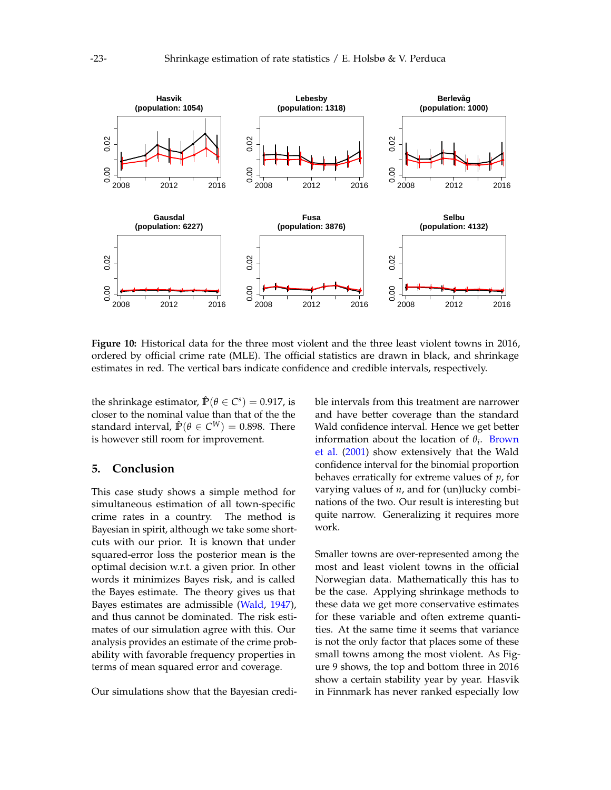<span id="page-9-0"></span>

**Figure 10:** Historical data for the three most violent and the three least violent towns in 2016, ordered by official crime rate (MLE). The official statistics are drawn in black, and shrinkage estimates in red. The vertical bars indicate confidence and credible intervals, respectively.

the shrinkage estimator,  $\hat{P}(\theta \in C^s) = 0.917$ , is closer to the nominal value than that of the the standard interval,  $\hat{\mathbb{P}}(\theta \in C^W) = 0.898$ . There is however still room for improvement.

# **5. Conclusion**

This case study shows a simple method for simultaneous estimation of all town-specific crime rates in a country. The method is Bayesian in spirit, although we take some shortcuts with our prior. It is known that under squared-error loss the posterior mean is the optimal decision w.r.t. a given prior. In other words it minimizes Bayes risk, and is called the Bayes estimate. The theory gives us that Bayes estimates are admissible [\(Wald,](#page-11-1) [1947\)](#page-11-1), and thus cannot be dominated. The risk estimates of our simulation agree with this. Our analysis provides an estimate of the crime probability with favorable frequency properties in terms of mean squared error and coverage.

Our simulations show that the Bayesian credi-

ble intervals from this treatment are narrower and have better coverage than the standard Wald confidence interval. Hence we get better information about the location of  $\theta_i$ . [Brown](#page-10-8) [et al.](#page-10-8) [\(2001\)](#page-10-8) show extensively that the Wald confidence interval for the binomial proportion behaves erratically for extreme values of *p*, for varying values of *n*, and for (un)lucky combinations of the two. Our result is interesting but quite narrow. Generalizing it requires more work.

Smaller towns are over-represented among the most and least violent towns in the official Norwegian data. Mathematically this has to be the case. Applying shrinkage methods to these data we get more conservative estimates for these variable and often extreme quantities. At the same time it seems that variance is not the only factor that places some of these small towns among the most violent. As Figure [9](#page-8-0) shows, the top and bottom three in 2016 show a certain stability year by year. Hasvik in Finnmark has never ranked especially low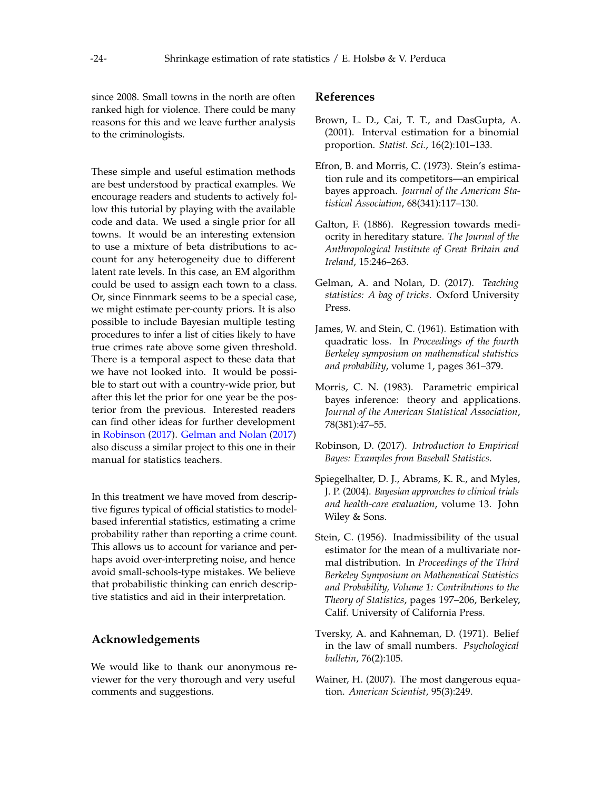since 2008. Small towns in the north are often ranked high for violence. There could be many reasons for this and we leave further analysis to the criminologists.

These simple and useful estimation methods are best understood by practical examples. We encourage readers and students to actively follow this tutorial by playing with the available code and data. We used a single prior for all towns. It would be an interesting extension to use a mixture of beta distributions to account for any heterogeneity due to different latent rate levels. In this case, an EM algorithm could be used to assign each town to a class. Or, since Finnmark seems to be a special case, we might estimate per-county priors. It is also possible to include Bayesian multiple testing procedures to infer a list of cities likely to have true crimes rate above some given threshold. There is a temporal aspect to these data that we have not looked into. It would be possible to start out with a country-wide prior, but after this let the prior for one year be the posterior from the previous. Interested readers can find other ideas for further development in [Robinson](#page-10-9) [\(2017\)](#page-10-9). [Gelman and Nolan](#page-10-10) [\(2017\)](#page-10-10) also discuss a similar project to this one in their manual for statistics teachers.

In this treatment we have moved from descriptive figures typical of official statistics to modelbased inferential statistics, estimating a crime probability rather than reporting a crime count. This allows us to account for variance and perhaps avoid over-interpreting noise, and hence avoid small-schools-type mistakes. We believe that probabilistic thinking can enrich descriptive statistics and aid in their interpretation.

## **Acknowledgements**

We would like to thank our anonymous reviewer for the very thorough and very useful comments and suggestions.

# **References**

- <span id="page-10-8"></span>Brown, L. D., Cai, T. T., and DasGupta, A. (2001). Interval estimation for a binomial proportion. *Statist. Sci.*, 16(2):101–133.
- <span id="page-10-5"></span>Efron, B. and Morris, C. (1973). Stein's estimation rule and its competitors—an empirical bayes approach. *Journal of the American Statistical Association*, 68(341):117–130.
- <span id="page-10-2"></span>Galton, F. (1886). Regression towards mediocrity in hereditary stature. *The Journal of the Anthropological Institute of Great Britain and Ireland*, 15:246–263.
- <span id="page-10-10"></span>Gelman, A. and Nolan, D. (2017). *Teaching statistics: A bag of tricks*. Oxford University Press.
- <span id="page-10-4"></span>James, W. and Stein, C. (1961). Estimation with quadratic loss. In *Proceedings of the fourth Berkeley symposium on mathematical statistics and probability*, volume 1, pages 361–379.
- <span id="page-10-6"></span>Morris, C. N. (1983). Parametric empirical bayes inference: theory and applications. *Journal of the American Statistical Association*, 78(381):47–55.
- <span id="page-10-9"></span>Robinson, D. (2017). *Introduction to Empirical Bayes: Examples from Baseball Statistics*.
- <span id="page-10-7"></span>Spiegelhalter, D. J., Abrams, K. R., and Myles, J. P. (2004). *Bayesian approaches to clinical trials and health-care evaluation*, volume 13. John Wiley & Sons.
- <span id="page-10-3"></span>Stein, C. (1956). Inadmissibility of the usual estimator for the mean of a multivariate normal distribution. In *Proceedings of the Third Berkeley Symposium on Mathematical Statistics and Probability, Volume 1: Contributions to the Theory of Statistics*, pages 197–206, Berkeley, Calif. University of California Press.
- <span id="page-10-0"></span>Tversky, A. and Kahneman, D. (1971). Belief in the law of small numbers. *Psychological bulletin*, 76(2):105.
- <span id="page-10-1"></span>Wainer, H. (2007). The most dangerous equation. *American Scientist*, 95(3):249.